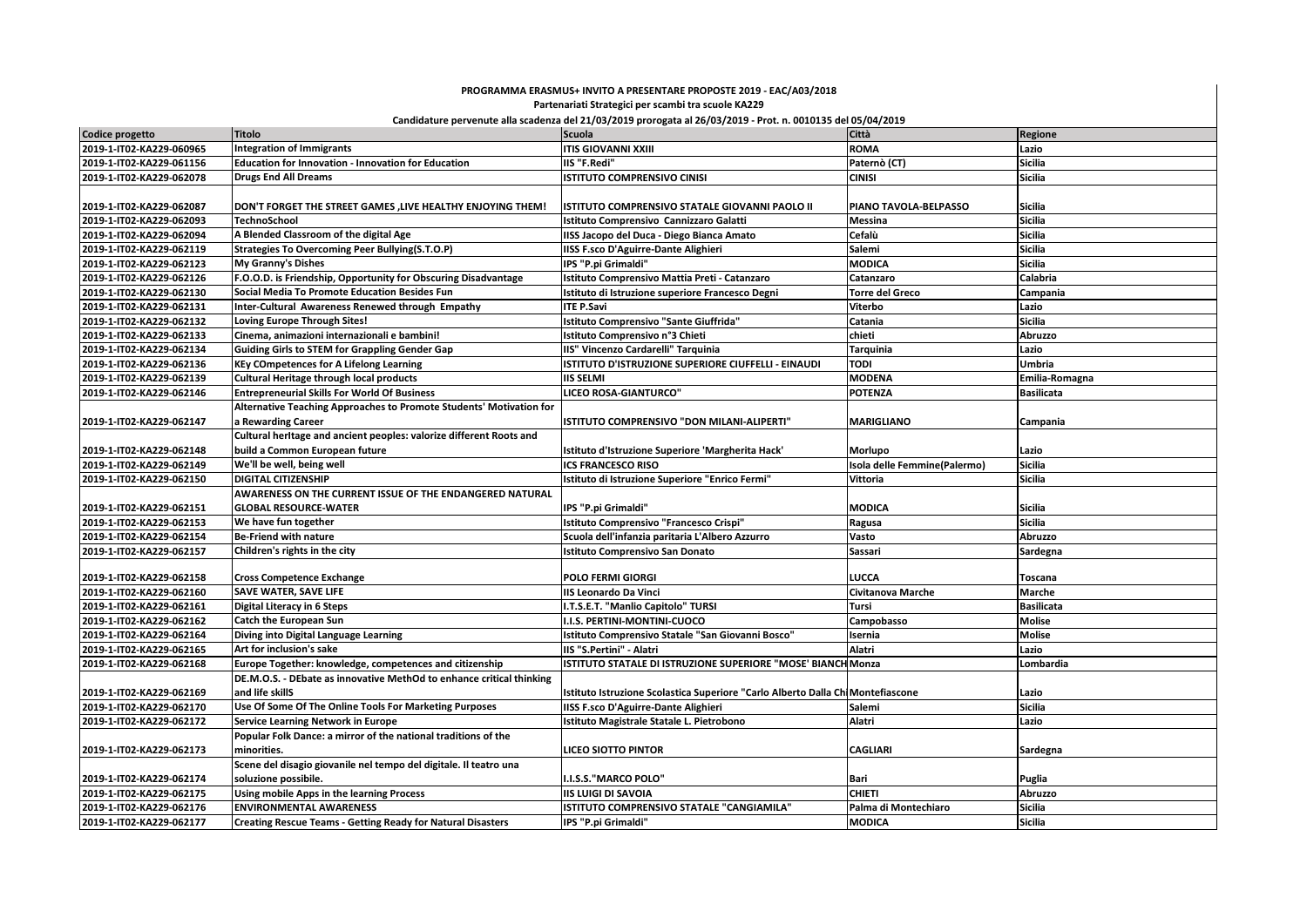## **PROGRAMMA ERASMUS+ INVITO A PRESENTARE PROPOSTE 2019 - EAC/A03/2018 Partenariati Strategici per scambi tra scuole KA229**

## **Candidature pervenute alla scadenza del 21/03/2019 prorogata al 26/03/2019 - Prot. n. 0010135 del 05/04/2019**

| Codice progetto          | <b>Titolo</b>                                                        | <b>Scuola</b>                                                                   | Città                        | Regione           |
|--------------------------|----------------------------------------------------------------------|---------------------------------------------------------------------------------|------------------------------|-------------------|
| 2019-1-IT02-KA229-060965 | <b>Integration of Immigrants</b>                                     | <b>ITIS GIOVANNI XXIII</b>                                                      | <b>ROMA</b>                  | Lazio             |
| 2019-1-IT02-KA229-061156 | Education for Innovation - Innovation for Education                  | IIS "F.Redi"                                                                    | Paternò (CT)                 | <b>Sicilia</b>    |
| 2019-1-IT02-KA229-062078 | <b>Drugs End All Dreams</b>                                          | <b>ISTITUTO COMPRENSIVO CINISI</b>                                              | <b>CINISI</b>                | <b>Sicilia</b>    |
| 2019-1-IT02-KA229-062087 | DON'T FORGET THE STREET GAMES ,LIVE HEALTHY ENJOYING THEM!           | ISTITUTO COMPRENSIVO STATALE GIOVANNI PAOLO II                                  | PIANO TAVOLA-BELPASSO        | <b>Sicilia</b>    |
| 2019-1-IT02-KA229-062093 | <b>TechnoSchool</b>                                                  | Istituto Comprensivo Cannizzaro Galatti                                         | Messina                      | <b>Sicilia</b>    |
| 2019-1-IT02-KA229-062094 | A Blended Classroom of the digital Age                               | IISS Jacopo del Duca - Diego Bianca Amato                                       | Cefalù                       | <b>Sicilia</b>    |
| 2019-1-IT02-KA229-062119 | Strategies To Overcoming Peer Bullying(S.T.O.P)                      | <b>IISS F.sco D'Aguirre-Dante Alighieri</b>                                     | Salemi                       | <b>Sicilia</b>    |
| 2019-1-IT02-KA229-062123 | My Granny's Dishes                                                   | IPS "P.pi Grimaldi"                                                             | <b>MODICA</b>                | <b>Sicilia</b>    |
| 2019-1-IT02-KA229-062126 | F.O.O.D. is Friendship, Opportunity for Obscuring Disadvantage       | Istituto Comprensivo Mattia Preti - Catanzaro                                   | Catanzaro                    | Calabria          |
| 2019-1-IT02-KA229-062130 | Social Media To Promote Education Besides Fun                        | Istituto di Istruzione superiore Francesco Degni                                | <b>Torre del Greco</b>       | Campania          |
| 2019-1-IT02-KA229-062131 | Inter-Cultural Awareness Renewed through Empathy                     | <b>ITE P.Savi</b>                                                               | Viterbo                      | Lazio             |
| 2019-1-IT02-KA229-062132 | Loving Europe Through Sites!                                         | Istituto Comprensivo "Sante Giuffrida"                                          | Catania                      | <b>Sicilia</b>    |
| 2019-1-IT02-KA229-062133 | Cinema, animazioni internazionali e bambini!                         | Istituto Comprensivo n°3 Chieti                                                 | chieti                       | Abruzzo           |
| 2019-1-IT02-KA229-062134 | <b>Guiding Girls to STEM for Grappling Gender Gap</b>                | IIS" Vincenzo Cardarelli" Tarquinia                                             | <b>Tarquinia</b>             | Lazio             |
| 2019-1-IT02-KA229-062136 | <b>KEy COmpetences for A Lifelong Learning</b>                       | ISTITUTO D'ISTRUZIONE SUPERIORE CIUFFELLI - EINAUDI                             | <b>TODI</b>                  | <b>Umbria</b>     |
| 2019-1-IT02-KA229-062139 | <b>Cultural Heritage through local products</b>                      | <b>IIS SELMI</b>                                                                | <b>MODENA</b>                | Emilia-Romagna    |
| 2019-1-IT02-KA229-062146 | <b>Entrepreneurial Skills For World Of Business</b>                  | <b>LICEO ROSA-GIANTURCO"</b>                                                    | <b>POTENZA</b>               | <b>Basilicata</b> |
|                          | Alternative Teaching Approaches to Promote Students' Motivation for  |                                                                                 |                              |                   |
| 2019-1-IT02-KA229-062147 | a Rewarding Career                                                   | ISTITUTO COMPRENSIVO "DON MILANI-ALIPERTI"                                      | <b>MARIGLIANO</b>            | Campania          |
|                          | Cultural heritage and ancient peoples: valorize different Roots and  |                                                                                 |                              |                   |
| 2019-1-IT02-KA229-062148 | build a Common European future                                       | Istituto d'Istruzione Superiore 'Margherita Hack'                               | Morlupo                      | Lazio             |
| 2019-1-IT02-KA229-062149 | We'll be well, being well                                            | <b>ICS FRANCESCO RISO</b>                                                       | Isola delle Femmine(Palermo) | <b>Sicilia</b>    |
| 2019-1-IT02-KA229-062150 | <b>DIGITAL CITIZENSHIP</b>                                           | Istituto di Istruzione Superiore "Enrico Fermi"                                 | Vittoria                     | <b>Sicilia</b>    |
|                          | AWARENESS ON THE CURRENT ISSUE OF THE ENDANGERED NATURAL             |                                                                                 |                              |                   |
| 2019-1-IT02-KA229-062151 | <b>GLOBAL RESOURCE-WATER</b>                                         | IPS "P.pi Grimaldi"                                                             | <b>MODICA</b>                | <b>Sicilia</b>    |
| 2019-1-IT02-KA229-062153 | We have fun together                                                 | Istituto Comprensivo "Francesco Crispi"                                         | Ragusa                       | <b>Sicilia</b>    |
| 2019-1-IT02-KA229-062154 | Be-Friend with nature                                                | Scuola dell'infanzia paritaria L'Albero Azzurro                                 | Vasto                        | Abruzzo           |
| 2019-1-IT02-KA229-062157 | Children's rights in the city                                        | Istituto Comprensivo San Donato                                                 | Sassari                      | Sardegna          |
|                          |                                                                      |                                                                                 |                              |                   |
| 2019-1-IT02-KA229-062158 | <b>Cross Competence Exchange</b>                                     | POLO FERMI GIORGI                                                               | LUCCA                        | <b>Toscana</b>    |
| 2019-1-IT02-KA229-062160 | <b>SAVE WATER, SAVE LIFE</b>                                         | IIS Leonardo Da Vinci                                                           | Civitanova Marche            | Marche            |
| 2019-1-IT02-KA229-062161 | Digital Literacy in 6 Steps                                          | I.T.S.E.T. "Manlio Capitolo" TURSI                                              | Tursi                        | <b>Basilicata</b> |
| 2019-1-IT02-KA229-062162 | <b>Catch the European Sun</b>                                        | I.I.S. PERTINI-MONTINI-CUOCO                                                    | Campobasso                   | <b>Molise</b>     |
| 2019-1-IT02-KA229-062164 | Diving into Digital Language Learning                                | Istituto Comprensivo Statale "San Giovanni Bosco"                               | Isernia                      | <b>Molise</b>     |
| 2019-1-IT02-KA229-062165 | Art for inclusion's sake                                             | IIS "S.Pertini" - Alatri                                                        | Alatri                       | Lazio             |
| 2019-1-IT02-KA229-062168 | Europe Together: knowledge, competences and citizenship              | ISTITUTO STATALE DI ISTRUZIONE SUPERIORE "MOSE' BIANCH Monza                    |                              | Lombardia         |
|                          | DE.M.O.S. - DEbate as innovative MethOd to enhance critical thinking |                                                                                 |                              |                   |
| 2019-1-IT02-KA229-062169 | and life skillS                                                      | Istituto Istruzione Scolastica Superiore "Carlo Alberto Dalla Chi Montefiascone |                              | Lazio             |
| 2019-1-IT02-KA229-062170 | Use Of Some Of The Online Tools For Marketing Purposes               | <b>IISS F.sco D'Aguirre-Dante Alighieri</b>                                     | Salemi                       | <b>Sicilia</b>    |
| 2019-1-IT02-KA229-062172 | Service Learning Network in Europe                                   | Istituto Magistrale Statale L. Pietrobono                                       | Alatri                       | Lazio             |
|                          | Popular Folk Dance: a mirror of the national traditions of the       |                                                                                 |                              |                   |
| 2019-1-IT02-KA229-062173 | minorities.                                                          | <b>LICEO SIOTTO PINTOR</b>                                                      | <b>CAGLIARI</b>              | Sardegna          |
|                          | Scene del disagio giovanile nel tempo del digitale. Il teatro una    |                                                                                 |                              |                   |
| 2019-1-IT02-KA229-062174 | soluzione possibile.                                                 | I.I.S.S."MARCO POLO"                                                            | Bari                         | Puglia            |
| 2019-1-IT02-KA229-062175 | Using mobile Apps in the learning Process                            | <b>IIS LUIGI DI SAVOIA</b>                                                      | <b>CHIETI</b>                | Abruzzo           |
| 2019-1-IT02-KA229-062176 | <b>ENVIRONMENTAL AWARENESS</b>                                       | ISTITUTO COMPRENSIVO STATALE "CANGIAMILA"                                       | Palma di Montechiaro         | <b>Sicilia</b>    |
| 2019-1-IT02-KA229-062177 | <b>Creating Rescue Teams - Getting Ready for Natural Disasters</b>   | IPS "P.pi Grimaldi"                                                             | <b>MODICA</b>                | <b>Sicilia</b>    |
|                          |                                                                      |                                                                                 |                              |                   |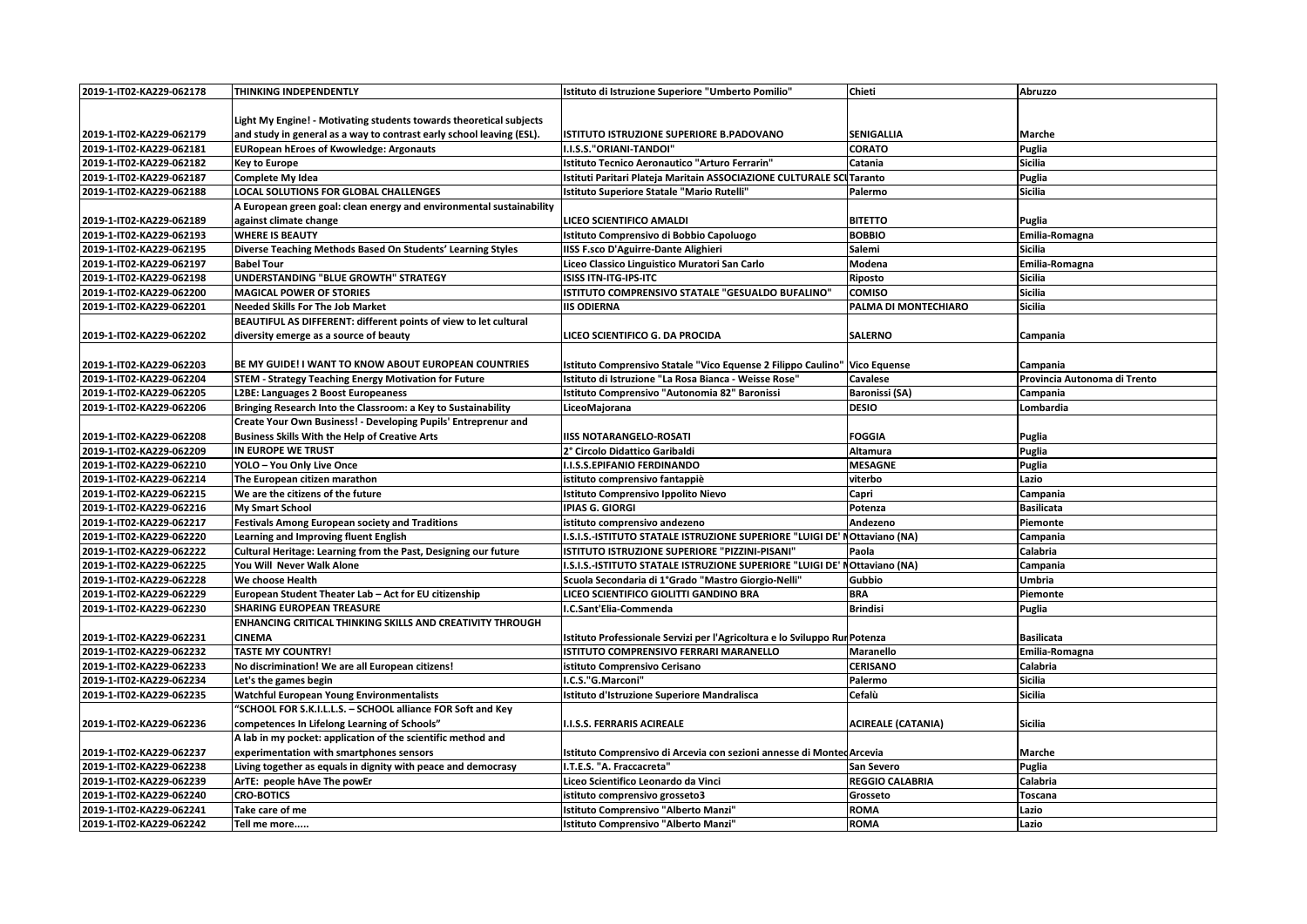| 2019-1-IT02-KA229-062178 | THINKING INDEPENDENTLY                                                | Istituto di Istruzione Superiore "Umberto Pomilio"                           | Chieti                    | Abruzzo                      |
|--------------------------|-----------------------------------------------------------------------|------------------------------------------------------------------------------|---------------------------|------------------------------|
|                          |                                                                       |                                                                              |                           |                              |
|                          | Light My Engine! - Motivating students towards theoretical subjects   |                                                                              |                           |                              |
| 2019-1-IT02-KA229-062179 | and study in general as a way to contrast early school leaving (ESL). | ISTITUTO ISTRUZIONE SUPERIORE B.PADOVANO                                     | <b>SENIGALLIA</b>         | Marche                       |
| 2019-1-IT02-KA229-062181 | <b>EURopean hEroes of Kwowledge: Argonauts</b>                        | I.I.S.S."ORIANI-TANDOI"                                                      | <b>CORATO</b>             | Puglia                       |
| 2019-1-IT02-KA229-062182 | <b>Key to Europe</b>                                                  | <b>Istituto Tecnico Aeronautico "Arturo Ferrarin"</b>                        | Catania                   | Sicilia                      |
| 2019-1-IT02-KA229-062187 | <b>Complete My Idea</b>                                               | Istituti Paritari Plateja Maritain ASSOCIAZIONE CULTURALE SCI Taranto        |                           | Puglia                       |
| 2019-1-IT02-KA229-062188 | LOCAL SOLUTIONS FOR GLOBAL CHALLENGES                                 | Istituto Superiore Statale "Mario Rutelli'                                   | Palermo                   | <b>Sicilia</b>               |
|                          | A European green goal: clean energy and environmental sustainability  |                                                                              |                           |                              |
| 2019-1-IT02-KA229-062189 | against climate change                                                | LICEO SCIENTIFICO AMALDI                                                     | <b>BITETTO</b>            | Puglia                       |
| 2019-1-IT02-KA229-062193 | <b>WHERE IS BEAUTY</b>                                                | Istituto Comprensivo di Bobbio Capoluogo                                     | <b>BOBBIO</b>             | Emilia-Romagna               |
| 2019-1-IT02-KA229-062195 | Diverse Teaching Methods Based On Students' Learning Styles           | <b>IISS F.sco D'Aguirre-Dante Alighieri</b>                                  | Salemi                    | Sicilia                      |
| 2019-1-IT02-KA229-062197 | <b>Babel Tour</b>                                                     | Liceo Classico Linguistico Muratori San Carlo                                | Modena                    | Emilia-Romagna               |
| 2019-1-IT02-KA229-062198 | UNDERSTANDING "BLUE GROWTH" STRATEGY                                  | ISISS ITN-ITG-IPS-ITC                                                        | Riposto                   | <b>Sicilia</b>               |
| 2019-1-IT02-KA229-062200 | <b>MAGICAL POWER OF STORIES</b>                                       | ISTITUTO COMPRENSIVO STATALE "GESUALDO BUFALINO"                             | <b>COMISO</b>             | <b>Sicilia</b>               |
| 2019-1-IT02-KA229-062201 | <b>Needed Skills For The Job Market</b>                               | <b>IIS ODIERNA</b>                                                           | PALMA DI MONTECHIARO      | <b>Sicilia</b>               |
|                          | BEAUTIFUL AS DIFFERENT: different points of view to let cultural      |                                                                              |                           |                              |
| 2019-1-IT02-KA229-062202 | diversity emerge as a source of beauty                                | LICEO SCIENTIFICO G. DA PROCIDA                                              | <b>SALERNO</b>            | Campania                     |
|                          |                                                                       |                                                                              |                           |                              |
| 2019-1-IT02-KA229-062203 | BE MY GUIDE! I WANT TO KNOW ABOUT EUROPEAN COUNTRIES                  | Istituto Comprensivo Statale "Vico Equense 2 Filippo Caulino"   Vico Equense |                           | Campania                     |
| 2019-1-IT02-KA229-062204 | <b>STEM - Strategy Teaching Energy Motivation for Future</b>          | Istituto di Istruzione "La Rosa Bianca - Weisse Rose"                        | Cavalese                  | Provincia Autonoma di Trento |
| 2019-1-IT02-KA229-062205 | L2BE: Languages 2 Boost Europeaness                                   | Istituto Comprensivo "Autonomia 82" Baronissi                                | <b>Baronissi (SA)</b>     | Campania                     |
| 2019-1-IT02-KA229-062206 | Bringing Research Into the Classroom: a Key to Sustainability         | LiceoMajorana                                                                | <b>DESIO</b>              | Lombardia                    |
|                          | Create Your Own Business! - Developing Pupils' Entreprenur and        |                                                                              |                           |                              |
| 2019-1-IT02-KA229-062208 | <b>Business Skills With the Help of Creative Arts</b>                 | <b>IISS NOTARANGELO-ROSATI</b>                                               | <b>FOGGIA</b>             | Puglia                       |
| 2019-1-IT02-KA229-062209 | IN EUROPE WE TRUST                                                    | 2° Circolo Didattico Garibaldi                                               | Altamura                  | Puglia                       |
| 2019-1-IT02-KA229-062210 | YOLO - You Only Live Once                                             | I.I.S.S. EPIFANIO FERDINANDO                                                 | <b>MESAGNE</b>            | Puglia                       |
| 2019-1-IT02-KA229-062214 | The European citizen marathon                                         | istituto comprensivo fantappiè                                               | viterbo                   | Lazio                        |
| 2019-1-IT02-KA229-062215 | We are the citizens of the future                                     | <b>Istituto Comprensivo Ippolito Nievo</b>                                   | Capri                     | Campania                     |
| 2019-1-IT02-KA229-062216 | My Smart School                                                       | <b>IPIAS G. GIORGI</b>                                                       | Potenza                   | <b>Basilicata</b>            |
| 2019-1-IT02-KA229-062217 | <b>Festivals Among European society and Traditions</b>                | istituto comprensivo andezeno                                                | Andezeno                  | Piemonte                     |
| 2019-1-IT02-KA229-062220 | Learning and Improving fluent English                                 | I.S.I.S.-ISTITUTO STATALE ISTRUZIONE SUPERIORE "LUIGI DE' NOttaviano (NA)    |                           | Campania                     |
| 2019-1-IT02-KA229-062222 | Cultural Heritage: Learning from the Past, Designing our future       | ISTITUTO ISTRUZIONE SUPERIORE "PIZZINI-PISANI"                               | Paola                     | Calabria                     |
| 2019-1-IT02-KA229-062225 | You Will Never Walk Alone                                             | I.S.I.S.-ISTITUTO STATALE ISTRUZIONE SUPERIORE "LUIGI DE' NOttaviano (NA)    |                           | Campania                     |
| 2019-1-IT02-KA229-062228 | We choose Health                                                      | Scuola Secondaria di 1°Grado "Mastro Giorgio-Nelli'                          | Gubbio                    | <b>Umbria</b>                |
| 2019-1-IT02-KA229-062229 | European Student Theater Lab - Act for EU citizenship                 | LICEO SCIENTIFICO GIOLITTI GANDINO BRA                                       | <b>BRA</b>                | Piemonte                     |
| 2019-1-IT02-KA229-062230 | <b>SHARING EUROPEAN TREASURE</b>                                      | I.C.Sant'Elia-Commenda                                                       | <b>Brindisi</b>           | Puglia                       |
|                          | ENHANCING CRITICAL THINKING SKILLS AND CREATIVITY THROUGH             |                                                                              |                           |                              |
| 2019-1-IT02-KA229-062231 | <b>CINEMA</b>                                                         | Istituto Professionale Servizi per l'Agricoltura e lo Sviluppo Rui Potenza   |                           | <b>Basilicata</b>            |
| 2019-1-IT02-KA229-062232 | <b>TASTE MY COUNTRY!</b>                                              | <b>ISTITUTO COMPRENSIVO FERRARI MARANELLO</b>                                | <b>Maranello</b>          | Emilia-Romagna               |
| 2019-1-IT02-KA229-062233 | No discrimination! We are all European citizens!                      | istituto Comprensivo Cerisano                                                | <b>CERISANO</b>           | Calabria                     |
| 2019-1-IT02-KA229-062234 | Let's the games begin                                                 | I.C.S."G.Marconi"                                                            | Palermo                   | <b>Sicilia</b>               |
| 2019-1-IT02-KA229-062235 | <b>Watchful European Young Environmentalists</b>                      | Istituto d'Istruzione Superiore Mandralisca                                  | Cefalù                    | Sicilia                      |
|                          | "SCHOOL FOR S.K.I.L.L.S. - SCHOOL alliance FOR Soft and Key           |                                                                              |                           |                              |
| 2019-1-IT02-KA229-062236 | competences In Lifelong Learning of Schools"                          | <b>.I.S.S. FERRARIS ACIREALE</b>                                             | <b>ACIREALE (CATANIA)</b> | <b>Sicilia</b>               |
|                          | A lab in my pocket: application of the scientific method and          |                                                                              |                           |                              |
| 2019-1-IT02-KA229-062237 | experimentation with smartphones sensors                              | Istituto Comprensivo di Arcevia con sezioni annesse di Monted Arcevia        |                           | Marche                       |
| 2019-1-IT02-KA229-062238 | Living together as equals in dignity with peace and democrasy         | I.T.E.S. "A. Fraccacreta"                                                    | San Severo                | Puglia                       |
| 2019-1-IT02-KA229-062239 | ArTE: people hAve The powEr                                           | Liceo Scientifico Leonardo da Vinci                                          | <b>REGGIO CALABRIA</b>    | Calabria                     |
| 2019-1-IT02-KA229-062240 | <b>CRO-BOTICS</b>                                                     | istituto comprensivo grosseto3                                               | Grosseto                  | Toscana                      |
| 2019-1-IT02-KA229-062241 | Take care of me                                                       | <b>Istituto Comprensivo "Alberto Manzi"</b>                                  | <b>ROMA</b>               | Lazio                        |
| 2019-1-IT02-KA229-062242 | Tell me more                                                          | Istituto Comprensivo "Alberto Manzi"                                         | <b>ROMA</b>               | Lazio                        |
|                          |                                                                       |                                                                              |                           |                              |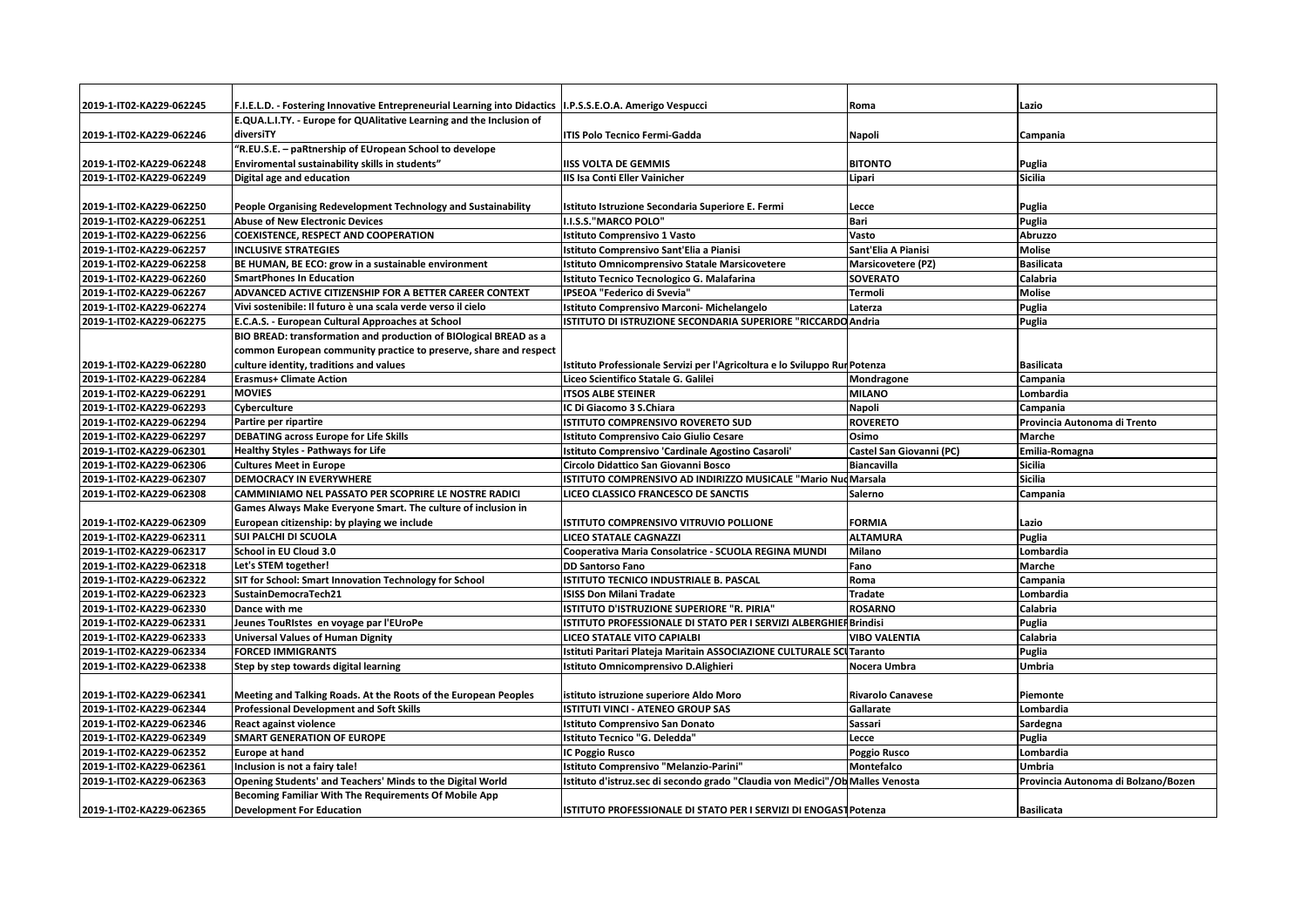| 2019-1-IT02-KA229-062245 | F.I.E.L.D. - Fostering Innovative Entrepreneurial Learning into Didactics   I.P.S.S.E.O.A. Amerigo Vespucci |                                                                               | Roma                      | Lazio                               |
|--------------------------|-------------------------------------------------------------------------------------------------------------|-------------------------------------------------------------------------------|---------------------------|-------------------------------------|
|                          | E.QUA.L.I.TY. - Europe for QUAlitative Learning and the Inclusion of                                        |                                                                               |                           |                                     |
| 2019-1-IT02-KA229-062246 | diversiTY                                                                                                   | <b>ITIS Polo Tecnico Fermi-Gadda</b>                                          | <b>Napoli</b>             | Campania                            |
|                          | "R.EU.S.E. - paRtnership of EUropean School to develope                                                     |                                                                               |                           |                                     |
| 2019-1-IT02-KA229-062248 | Enviromental sustainability skills in students"                                                             | <b>IISS VOLTA DE GEMMIS</b>                                                   | <b>BITONTO</b>            | Puglia                              |
| 2019-1-IT02-KA229-062249 | Digital age and education                                                                                   | IIS Isa Conti Eller Vainicher                                                 | Lipari                    | <b>Sicilia</b>                      |
|                          |                                                                                                             |                                                                               |                           |                                     |
| 2019-1-IT02-KA229-062250 | People Organising Redevelopment Technology and Sustainability                                               | Istituto Istruzione Secondaria Superiore E. Fermi                             | Lecce                     | Puglia                              |
| 2019-1-IT02-KA229-062251 | <b>Abuse of New Electronic Devices</b>                                                                      | II.I.S.S."MARCO POLO"                                                         | Bari                      | Puglia                              |
| 2019-1-IT02-KA229-062256 | <b>COEXISTENCE, RESPECT AND COOPERATION</b>                                                                 | Istituto Comprensivo 1 Vasto                                                  | Vasto                     | Abruzzo                             |
| 2019-1-IT02-KA229-062257 | <b>INCLUSIVE STRATEGIES</b>                                                                                 | Istituto Comprensivo Sant'Elia a Pianisi                                      | Sant'Elia A Pianisi       | <b>Molise</b>                       |
| 2019-1-IT02-KA229-062258 | BE HUMAN, BE ECO: grow in a sustainable environment                                                         | Istituto Omnicomprensivo Statale Marsicovetere                                | <b>Marsicovetere (PZ)</b> | <b>Basilicata</b>                   |
| 2019-1-IT02-KA229-062260 | <b>SmartPhones In Education</b>                                                                             | Istituto Tecnico Tecnologico G. Malafarina                                    | <b>SOVERATO</b>           | Calabria                            |
| 2019-1-IT02-KA229-062267 | ADVANCED ACTIVE CITIZENSHIP FOR A BETTER CAREER CONTEXT                                                     | IPSEOA "Federico di Svevia"                                                   | <b>Termoli</b>            | <b>Molise</b>                       |
| 2019-1-IT02-KA229-062274 | Vivi sostenibile: Il futuro è una scala verde verso il cielo                                                | Istituto Comprensivo Marconi- Michelangelo                                    | Laterza                   | Puglia                              |
| 2019-1-IT02-KA229-062275 | E.C.A.S. - European Cultural Approaches at School                                                           | ISTITUTO DI ISTRUZIONE SECONDARIA SUPERIORE "RICCARDO Andria                  |                           | Puglia                              |
|                          | BIO BREAD: transformation and production of BIOlogical BREAD as a                                           |                                                                               |                           |                                     |
|                          | common European community practice to preserve, share and respect                                           |                                                                               |                           |                                     |
| 2019-1-IT02-KA229-062280 | culture identity, traditions and values                                                                     | Istituto Professionale Servizi per l'Agricoltura e lo Sviluppo Rui Potenza    |                           | <b>Basilicata</b>                   |
| 2019-1-IT02-KA229-062284 | <b>Erasmus+ Climate Action</b>                                                                              | Liceo Scientifico Statale G. Galilei                                          | Mondragone                | Campania                            |
| 2019-1-IT02-KA229-062291 | <b>MOVIES</b>                                                                                               | <b>ITSOS ALBE STEINER</b>                                                     | <b>MILANO</b>             | Lombardia                           |
| 2019-1-IT02-KA229-062293 | Cyberculture                                                                                                | IC Di Giacomo 3 S.Chiara                                                      | <b>Napoli</b>             | Campania                            |
| 2019-1-IT02-KA229-062294 | Partire per ripartire                                                                                       | ISTITUTO COMPRENSIVO ROVERETO SUD                                             | <b>ROVERETO</b>           | Provincia Autonoma di Trento        |
| 2019-1-IT02-KA229-062297 | <b>DEBATING across Europe for Life Skills</b>                                                               | <b>Istituto Comprensivo Caio Giulio Cesare</b>                                | Osimo                     | Marche                              |
| 2019-1-IT02-KA229-062301 | <b>Healthy Styles - Pathways for Life</b>                                                                   | Istituto Comprensivo 'Cardinale Agostino Casaroli'                            | Castel San Giovanni (PC)  | Emilia-Romagna                      |
| 2019-1-IT02-KA229-062306 | <b>Cultures Meet in Europe</b>                                                                              | Circolo Didattico San Giovanni Bosco                                          | <b>Biancavilla</b>        | <b>Sicilia</b>                      |
| 2019-1-IT02-KA229-062307 | <b>DEMOCRACY IN EVERYWHERE</b>                                                                              | ISTITUTO COMPRENSIVO AD INDIRIZZO MUSICALE "Mario Nuo Marsala                 |                           | <b>Sicilia</b>                      |
| 2019-1-IT02-KA229-062308 | CAMMINIAMO NEL PASSATO PER SCOPRIRE LE NOSTRE RADICI                                                        | LICEO CLASSICO FRANCESCO DE SANCTIS                                           | Salerno                   | Campania                            |
|                          | Games Always Make Everyone Smart. The culture of inclusion in                                               |                                                                               |                           |                                     |
| 2019-1-IT02-KA229-062309 | European citizenship: by playing we include                                                                 | IISTITUTO COMPRENSIVO VITRUVIO POLLIONE                                       | <b>FORMIA</b>             | Lazio                               |
| 2019-1-IT02-KA229-062311 | <b>SUI PALCHI DI SCUOLA</b>                                                                                 | <b>LICEO STATALE CAGNAZZI</b>                                                 | <b>ALTAMURA</b>           |                                     |
| 2019-1-IT02-KA229-062317 |                                                                                                             |                                                                               |                           | Puglia                              |
|                          | School in EU Cloud 3.0                                                                                      | Cooperativa Maria Consolatrice - SCUOLA REGINA MUNDI                          | Milano                    | Lombardia                           |
| 2019-1-IT02-KA229-062318 | Let's STEM together!                                                                                        | <b>DD Santorso Fano</b>                                                       | Fano                      | Marche                              |
| 2019-1-IT02-KA229-062322 | SIT for School: Smart Innovation Technology for School                                                      | ISTITUTO TECNICO INDUSTRIALE B. PASCAL                                        | Roma                      | Campania                            |
| 2019-1-IT02-KA229-062323 | SustainDemocraTech21                                                                                        | <b>ISISS Don Milani Tradate</b>                                               | <b>Tradate</b>            | Lombardia                           |
| 2019-1-IT02-KA229-062330 | Dance with me                                                                                               | ISTITUTO D'ISTRUZIONE SUPERIORE "R. PIRIA"                                    | <b>ROSARNO</b>            | Calabria                            |
| 2019-1-IT02-KA229-062331 | Jeunes TouRistes en voyage par l'EUroPe                                                                     | ISTITUTO PROFESSIONALE DI STATO PER I SERVIZI ALBERGHIEI Brindisi             |                           | Puglia                              |
| 2019-1-IT02-KA229-062333 | <b>Universal Values of Human Dignity</b>                                                                    | <b>LICEO STATALE VITO CAPIALBI</b>                                            | <b>VIBO VALENTIA</b>      | Calabria                            |
| 2019-1-IT02-KA229-062334 | <b>FORCED IMMIGRANTS</b>                                                                                    | Istituti Paritari Plateja Maritain ASSOCIAZIONE CULTURALE SCI Taranto         |                           | Puglia                              |
| 2019-1-IT02-KA229-062338 | Step by step towards digital learning                                                                       | Istituto Omnicomprensivo D.Alighieri                                          | Nocera Umbra              | <b>Umbria</b>                       |
|                          |                                                                                                             |                                                                               |                           |                                     |
| 2019-1-IT02-KA229-062341 | Meeting and Talking Roads. At the Roots of the European Peoples                                             | istituto istruzione superiore Aldo Moro                                       | <b>Rivarolo Canavese</b>  | Piemonte                            |
| 2019-1-IT02-KA229-062344 | <b>Professional Development and Soft Skills</b>                                                             | ISTITUTI VINCI - ATENEO GROUP SAS                                             | Gallarate                 | Lombardia                           |
| 2019-1-IT02-KA229-062346 | <b>React against violence</b>                                                                               | <b>Istituto Comprensivo San Donato</b>                                        | <b>Sassari</b>            | Sardegna                            |
| 2019-1-IT02-KA229-062349 | <b>SMART GENERATION OF EUROPE</b>                                                                           | Istituto Tecnico "G. Deledda'                                                 | Lecce                     | Puglia                              |
| 2019-1-IT02-KA229-062352 | <b>Europe at hand</b>                                                                                       | <b>IC Poggio Rusco</b>                                                        | Poggio Rusco              | Lombardia                           |
| 2019-1-IT02-KA229-062361 | Inclusion is not a fairy tale!                                                                              | Istituto Comprensivo "Melanzio-Parini"                                        | Montefalco                | <b>Umbria</b>                       |
| 2019-1-IT02-KA229-062363 | Opening Students' and Teachers' Minds to the Digital World                                                  | Istituto d'istruz.sec di secondo grado "Claudia von Medici"/Ob Malles Venosta |                           | Provincia Autonoma di Bolzano/Bozen |
|                          | Becoming Familiar With The Requirements Of Mobile App                                                       |                                                                               |                           |                                     |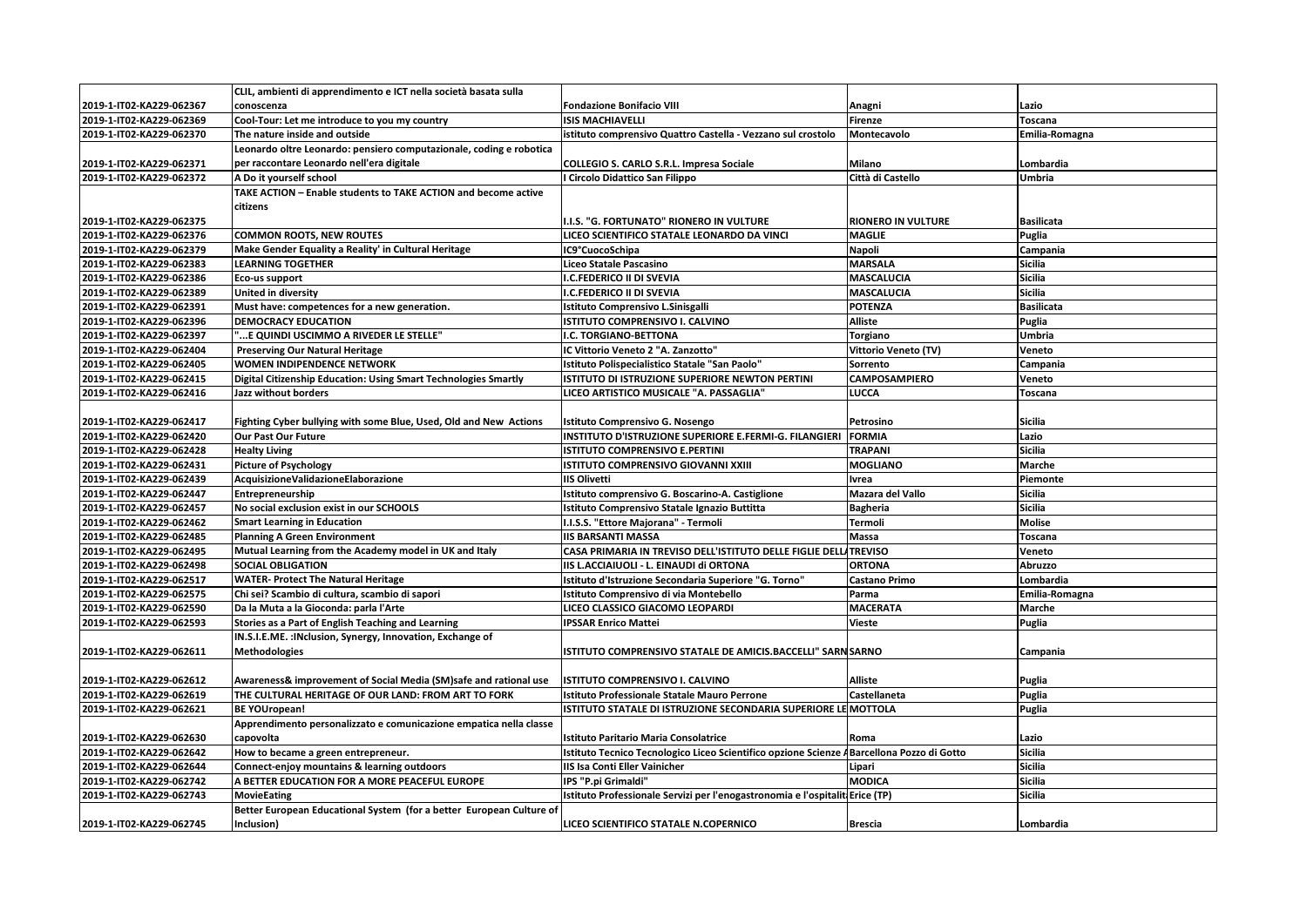|                          | CLIL, ambienti di apprendimento e ICT nella società basata sulla     |                                                                                            |                      |                   |
|--------------------------|----------------------------------------------------------------------|--------------------------------------------------------------------------------------------|----------------------|-------------------|
| 2019-1-IT02-KA229-062367 | conoscenza                                                           | <b>Fondazione Bonifacio VIII</b>                                                           | Anagni               | Lazio             |
| 2019-1-IT02-KA229-062369 | Cool-Tour: Let me introduce to you my country                        | <b>ISIS MACHIAVELLI</b>                                                                    | <b>Firenze</b>       | Toscana           |
| 2019-1-IT02-KA229-062370 | The nature inside and outside                                        | istituto comprensivo Quattro Castella - Vezzano sul crostolo                               | Montecavolo          | Emilia-Romagna    |
|                          | Leonardo oltre Leonardo: pensiero computazionale, coding e robotica  |                                                                                            |                      |                   |
| 2019-1-IT02-KA229-062371 | per raccontare Leonardo nell'era digitale                            | COLLEGIO S. CARLO S.R.L. Impresa Sociale                                                   | Milano               | Lombardia         |
| 2019-1-IT02-KA229-062372 | A Do it vourself school                                              | I Circolo Didattico San Filippo                                                            | Città di Castello    | <b>Umbria</b>     |
|                          | TAKE ACTION - Enable students to TAKE ACTION and become active       |                                                                                            |                      |                   |
|                          | citizens                                                             |                                                                                            |                      |                   |
| 2019-1-IT02-KA229-062375 |                                                                      | I.I.S. "G. FORTUNATO" RIONERO IN VULTURE                                                   | RIONERO IN VULTURE   | <b>Basilicata</b> |
| 2019-1-IT02-KA229-062376 | <b>COMMON ROOTS, NEW ROUTES</b>                                      | LICEO SCIENTIFICO STATALE LEONARDO DA VINCI                                                | <b>MAGLIE</b>        | Puglia            |
| 2019-1-IT02-KA229-062379 | Make Gender Equality a Reality' in Cultural Heritage                 | IC9°CuocoSchipa                                                                            | Napoli               | Campania          |
| 2019-1-IT02-KA229-062383 | <b>LEARNING TOGETHER</b>                                             | Liceo Statale Pascasino                                                                    | <b>MARSALA</b>       | <b>Sicilia</b>    |
| 2019-1-IT02-KA229-062386 | Eco-us support                                                       | I.C.FEDERICO II DI SVEVIA                                                                  | <b>MASCALUCIA</b>    | <b>Sicilia</b>    |
| 2019-1-IT02-KA229-062389 | United in diversity                                                  | <b>I.C.FEDERICO II DI SVEVIA</b>                                                           | <b>MASCALUCIA</b>    | <b>Sicilia</b>    |
| 2019-1-IT02-KA229-062391 | Must have: competences for a new generation.                         | Istituto Comprensivo L.Sinisgalli                                                          | <b>POTENZA</b>       | <b>Basilicata</b> |
| 2019-1-IT02-KA229-062396 | <b>DEMOCRACY EDUCATION</b>                                           | ISTITUTO COMPRENSIVO I. CALVINO                                                            | <b>Alliste</b>       | Puglia            |
| 2019-1-IT02-KA229-062397 | "E QUINDI USCIMMO A RIVEDER LE STELLE"                               | I.C. TORGIANO-BETTONA                                                                      | <b>Torgiano</b>      | Umbria            |
| 2019-1-IT02-KA229-062404 | <b>Preserving Our Natural Heritage</b>                               | IC Vittorio Veneto 2 "A. Zanzotto"                                                         | Vittorio Veneto (TV) | Veneto            |
| 2019-1-IT02-KA229-062405 | <b>WOMEN INDIPENDENCE NETWORK</b>                                    | Istituto Polispecialistico Statale "San Paolo"                                             | Sorrento             | Campania          |
| 2019-1-IT02-KA229-062415 | Digital Citizenship Education: Using Smart Technologies Smartly      | ISTITUTO DI ISTRUZIONE SUPERIORE NEWTON PERTINI                                            | CAMPOSAMPIERO        | Veneto            |
| 2019-1-IT02-KA229-062416 | Jazz without borders                                                 | LICEO ARTISTICO MUSICALE "A. PASSAGLIA"                                                    | LUCCA                | Toscana           |
|                          |                                                                      |                                                                                            |                      |                   |
| 2019-1-IT02-KA229-062417 | Fighting Cyber bullying with some Blue, Used, Old and New Actions    | Istituto Comprensivo G. Nosengo                                                            | Petrosino            | Sicilia           |
| 2019-1-IT02-KA229-062420 | <b>Our Past Our Future</b>                                           | INSTITUTO D'ISTRUZIONE SUPERIORE E.FERMI-G. FILANGIERI                                     | <b>FORMIA</b>        | Lazio             |
| 2019-1-IT02-KA229-062428 | <b>Healty Living</b>                                                 | ISTITUTO COMPRENSIVO E.PERTINI                                                             | <b>TRAPANI</b>       | <b>Sicilia</b>    |
| 2019-1-IT02-KA229-062431 | <b>Picture of Psychology</b>                                         | ISTITUTO COMPRENSIVO GIOVANNI XXIII                                                        | <b>MOGLIANO</b>      | Marche            |
| 2019-1-IT02-KA229-062439 | AcquisizioneValidazioneElaborazione                                  | <b>IIS Olivetti</b>                                                                        | Ivrea                | Piemonte          |
| 2019-1-IT02-KA229-062447 | Entrepreneurship                                                     | Istituto comprensivo G. Boscarino-A. Castiglione                                           | Mazara del Vallo     | <b>Sicilia</b>    |
| 2019-1-IT02-KA229-062457 | No social exclusion exist in our SCHOOLS                             | Istituto Comprensivo Statale Ignazio Buttitta                                              | <b>Bagheria</b>      | <b>Sicilia</b>    |
| 2019-1-IT02-KA229-062462 | <b>Smart Learning in Education</b>                                   | I.I.S.S. "Ettore Majorana" - Termoli                                                       | <b>Termoli</b>       | <b>Molise</b>     |
| 2019-1-IT02-KA229-062485 | <b>Planning A Green Environment</b>                                  | <b>IIS BARSANTI MASSA</b>                                                                  | Massa                | Toscana           |
| 2019-1-IT02-KA229-062495 | Mutual Learning from the Academy model in UK and Italy               | CASA PRIMARIA IN TREVISO DELL'ISTITUTO DELLE FIGLIE DELLA TREVISO                          |                      | Veneto            |
| 2019-1-IT02-KA229-062498 | <b>SOCIAL OBLIGATION</b>                                             | IIS L.ACCIAIUOLI - L. EINAUDI di ORTONA                                                    | <b>ORTONA</b>        | Abruzzo           |
| 2019-1-IT02-KA229-062517 | <b>WATER- Protect The Natural Heritage</b>                           | Istituto d'Istruzione Secondaria Superiore "G. Torno"                                      | <b>Castano Primo</b> | Lombardia         |
| 2019-1-IT02-KA229-062575 | Chi sei? Scambio di cultura, scambio di sapori                       | Istituto Comprensivo di via Montebello                                                     | Parma                | Emilia-Romagna    |
| 2019-1-IT02-KA229-062590 | Da la Muta a la Gioconda: parla l'Arte                               | LICEO CLASSICO GIACOMO LEOPARDI                                                            | <b>MACERATA</b>      | Marche            |
| 2019-1-IT02-KA229-062593 | Stories as a Part of English Teaching and Learning                   | <b>IPSSAR Enrico Mattei</b>                                                                | <b>Vieste</b>        | Puglia            |
|                          | IN.S.I.E.ME. : INclusion, Synergy, Innovation, Exchange of           |                                                                                            |                      |                   |
| 2019-1-IT02-KA229-062611 | <b>Methodologies</b>                                                 | ISTITUTO COMPRENSIVO STATALE DE AMICIS.BACCELLI" SARN SARNO                                |                      | Campania          |
|                          |                                                                      |                                                                                            |                      |                   |
| 2019-1-IT02-KA229-062612 | Awareness& improvement of Social Media (SM)safe and rational use     | <b>ISTITUTO COMPRENSIVO I. CALVINO</b>                                                     | <b>Alliste</b>       | Puglia            |
| 2019-1-IT02-KA229-062619 | THE CULTURAL HERITAGE OF OUR LAND: FROM ART TO FORK                  | Istituto Professionale Statale Mauro Perrone                                               | Castellaneta         | Puglia            |
| 2019-1-IT02-KA229-062621 | <b>BE YOUropean!</b>                                                 | ISTITUTO STATALE DI ISTRUZIONE SECONDARIA SUPERIORE LE MOTTOLA                             |                      | Puglia            |
|                          | Apprendimento personalizzato e comunicazione empatica nella classe   |                                                                                            |                      |                   |
| 2019-1-IT02-KA229-062630 | capovolta                                                            | <b>Istituto Paritario Maria Consolatrice</b>                                               | Roma                 | Lazio             |
| 2019-1-IT02-KA229-062642 | How to became a green entrepreneur.                                  | Istituto Tecnico Tecnologico Liceo Scientifico opzione Scienze A Barcellona Pozzo di Gotto |                      | <b>Sicilia</b>    |
| 2019-1-IT02-KA229-062644 | Connect-enjoy mountains & learning outdoors                          | <b>IIS Isa Conti Eller Vainicher</b>                                                       | Lipari               | <b>Sicilia</b>    |
| 2019-1-IT02-KA229-062742 | A BETTER EDUCATION FOR A MORE PEACEFUL EUROPE                        | IPS "P.pi Grimaldi"                                                                        | <b>MODICA</b>        | <b>Sicilia</b>    |
| 2019-1-IT02-KA229-062743 | <b>MovieEating</b>                                                   | Istituto Professionale Servizi per l'enogastronomia e l'ospitaliti Erice (TP)              |                      | <b>Sicilia</b>    |
|                          | Better European Educational System (for a better European Culture of |                                                                                            |                      |                   |
| 2019-1-IT02-KA229-062745 | Inclusion)                                                           | LICEO SCIENTIFICO STATALE N.COPERNICO                                                      | <b>Brescia</b>       | Lombardia         |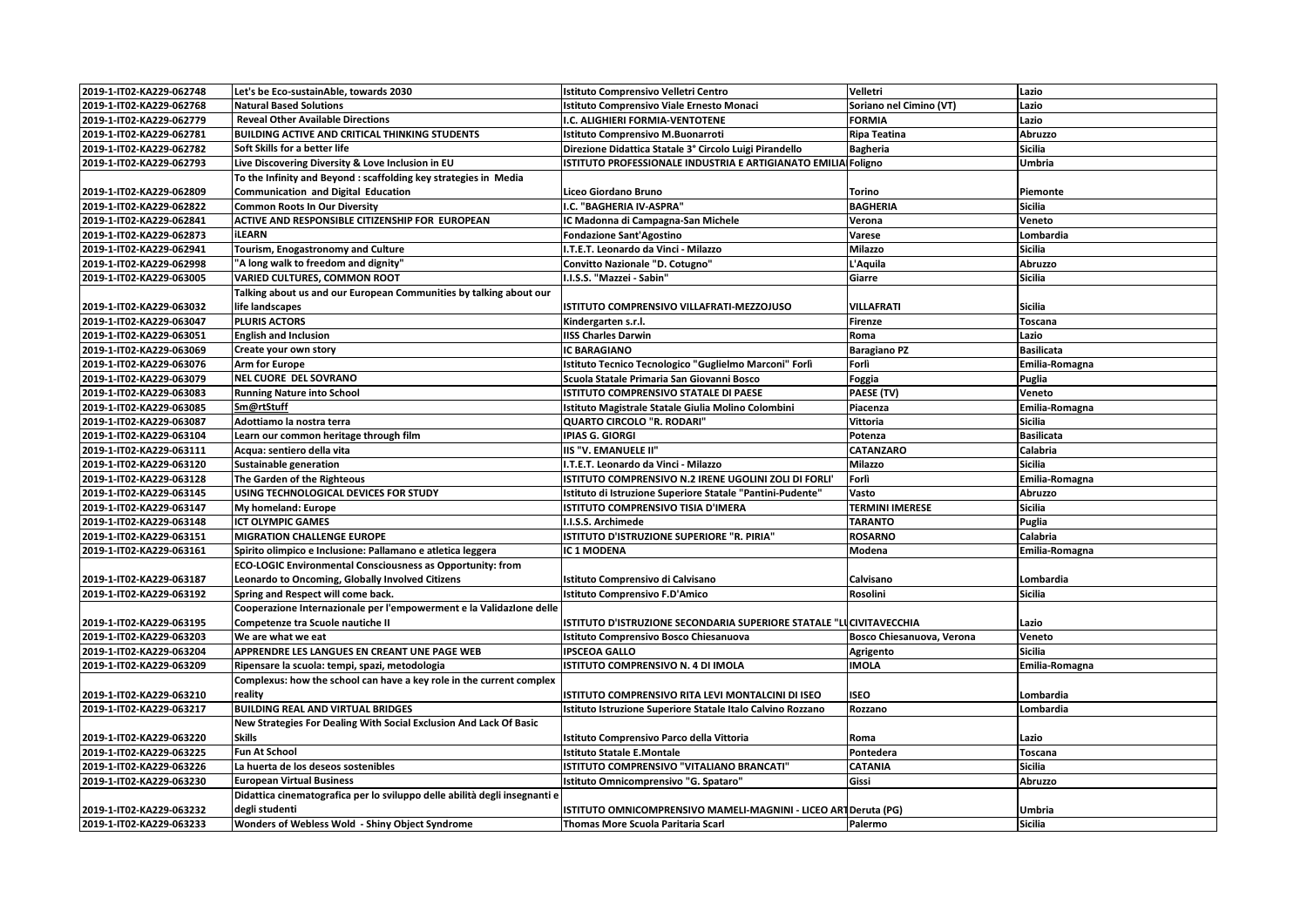| 2019-1-IT02-KA229-062748 | Let's be Eco-sustainAble, towards 2030                                     | Istituto Comprensivo Velletri Centro                                | Velletri                  | Lazio             |
|--------------------------|----------------------------------------------------------------------------|---------------------------------------------------------------------|---------------------------|-------------------|
| 2019-1-IT02-KA229-062768 | <b>Natural Based Solutions</b>                                             | Istituto Comprensivo Viale Ernesto Monaci                           | Soriano nel Cimino (VT)   | Lazio             |
| 2019-1-IT02-KA229-062779 | <b>Reveal Other Available Directions</b>                                   | I.C. ALIGHIERI FORMIA-VENTOTENE                                     | <b>FORMIA</b>             | Lazio             |
| 2019-1-IT02-KA229-062781 | BUILDING ACTIVE AND CRITICAL THINKING STUDENTS                             | Istituto Comprensivo M.Buonarroti                                   | <b>Ripa Teatina</b>       | Abruzzo           |
| 2019-1-IT02-KA229-062782 | Soft Skills for a better life                                              | Direzione Didattica Statale 3° Circolo Luigi Pirandello             | <b>Bagheria</b>           | <b>Sicilia</b>    |
| 2019-1-IT02-KA229-062793 | Live Discovering Diversity & Love Inclusion in EU                          | ISTITUTO PROFESSIONALE INDUSTRIA E ARTIGIANATO EMILIA Foligno       |                           | Umbria            |
|                          | To the Infinity and Beyond : scaffolding key strategies in Media           |                                                                     |                           |                   |
| 2019-1-IT02-KA229-062809 | <b>Communication and Digital Education</b>                                 | Liceo Giordano Bruno                                                | Torino                    | Piemonte          |
| 2019-1-IT02-KA229-062822 | <b>Common Roots In Our Diversity</b>                                       | I.C. "BAGHERIA IV-ASPRA"                                            | <b>BAGHERIA</b>           | <b>Sicilia</b>    |
| 2019-1-IT02-KA229-062841 | ACTIVE AND RESPONSIBLE CITIZENSHIP FOR EUROPEAN                            | IC Madonna di Campagna-San Michele                                  | Verona                    | Veneto            |
| 2019-1-IT02-KA229-062873 | iLEARN                                                                     | <b>Fondazione Sant'Agostino</b>                                     | Varese                    | Lombardia         |
| 2019-1-IT02-KA229-062941 | Tourism, Enogastronomy and Culture                                         | I.T.E.T. Leonardo da Vinci - Milazzo                                | <b>Milazzo</b>            | <b>Sicilia</b>    |
| 2019-1-IT02-KA229-062998 | "A long walk to freedom and dignity"                                       | Convitto Nazionale "D. Cotugno"                                     | L'Aquila                  | Abruzzo           |
| 2019-1-IT02-KA229-063005 | <b>VARIED CULTURES, COMMON ROOT</b>                                        | I.I.S.S. "Mazzei - Sabin"                                           | Giarre                    | <b>Sicilia</b>    |
|                          | Talking about us and our European Communities by talking about our         |                                                                     |                           |                   |
| 2019-1-IT02-KA229-063032 | life landscapes                                                            | ISTITUTO COMPRENSIVO VILLAFRATI-MEZZOJUSO                           | <b>VILLAFRATI</b>         | <b>Sicilia</b>    |
| 2019-1-IT02-KA229-063047 | <b>PLURIS ACTORS</b>                                                       | Kindergarten s.r.l.                                                 | <b>Firenze</b>            | Toscana           |
| 2019-1-IT02-KA229-063051 | <b>English and Inclusion</b>                                               | <b>IISS Charles Darwin</b>                                          | Roma                      | Lazio             |
| 2019-1-IT02-KA229-063069 | Create your own story                                                      | <b>IC BARAGIANO</b>                                                 | <b>Baragiano PZ</b>       | <b>Basilicata</b> |
| 2019-1-IT02-KA229-063076 | <b>Arm for Europe</b>                                                      | Istituto Tecnico Tecnologico "Guglielmo Marconi" Forlì              | Forlì                     | Emilia-Romagna    |
| 2019-1-IT02-KA229-063079 | <b>NEL CUORE DEL SOVRANO</b>                                               | Scuola Statale Primaria San Giovanni Bosco                          | Foggia                    | Puglia            |
| 2019-1-IT02-KA229-063083 | <b>Running Nature into School</b>                                          | ISTITUTO COMPRENSIVO STATALE DI PAESE                               | PAESE (TV)                | Veneto            |
| 2019-1-IT02-KA229-063085 | Sm@rtStuff                                                                 | Istituto Magistrale Statale Giulia Molino Colombini                 | Piacenza                  | Emilia-Romagna    |
| 2019-1-IT02-KA229-063087 | Adottiamo la nostra terra                                                  | QUARTO CIRCOLO "R. RODARI"                                          | <b>Vittoria</b>           | Sicilia           |
| 2019-1-IT02-KA229-063104 | Learn our common heritage through film                                     | <b>IPIAS G. GIORGI</b>                                              | Potenza                   | <b>Basilicata</b> |
| 2019-1-IT02-KA229-063111 | Acqua: sentiero della vita                                                 | IIS "V. EMANUELE II"                                                | <b>CATANZARO</b>          | Calabria          |
| 2019-1-IT02-KA229-063120 | <b>Sustainable generation</b>                                              | I.T.E.T. Leonardo da Vinci - Milazzo                                | Milazzo                   | <b>Sicilia</b>    |
| 2019-1-IT02-KA229-063128 | The Garden of the Righteous                                                | ISTITUTO COMPRENSIVO N.2 IRENE UGOLINI ZOLI DI FORLI'               | Forlì                     | Emilia-Romagna    |
| 2019-1-IT02-KA229-063145 | USING TECHNOLOGICAL DEVICES FOR STUDY                                      | Istituto di Istruzione Superiore Statale "Pantini-Pudente"          | Vasto                     | Abruzzo           |
| 2019-1-IT02-KA229-063147 | My homeland: Europe                                                        | ISTITUTO COMPRENSIVO TISIA D'IMERA                                  | <b>TERMINI IMERESE</b>    | <b>Sicilia</b>    |
| 2019-1-IT02-KA229-063148 | <b>ICT OLYMPIC GAMES</b>                                                   | I.I.S.S. Archimede                                                  | <b>TARANTO</b>            | Puglia            |
| 2019-1-IT02-KA229-063151 | <b>MIGRATION CHALLENGE EUROPE</b>                                          | ISTITUTO D'ISTRUZIONE SUPERIORE "R. PIRIA"                          | <b>ROSARNO</b>            | Calabria          |
| 2019-1-IT02-KA229-063161 | Spirito olimpico e Inclusione: Pallamano e atletica leggera                | IC 1 MODENA                                                         | Modena                    | Emilia-Romagna    |
|                          | ECO-LOGIC Environmental Consciousness as Opportunity: from                 |                                                                     |                           |                   |
| 2019-1-IT02-KA229-063187 | Leonardo to Oncoming, Globally Involved Citizens                           | Istituto Comprensivo di Calvisano                                   | Calvisano                 | Lombardia         |
| 2019-1-IT02-KA229-063192 | Spring and Respect will come back.                                         | <b>Istituto Comprensivo F.D'Amico</b>                               | Rosolini                  | <b>Sicilia</b>    |
|                          | Cooperazione Internazionale per l'empowerment e la Validazione delle       |                                                                     |                           |                   |
| 2019-1-IT02-KA229-063195 | Competenze tra Scuole nautiche II                                          | ISTITUTO D'ISTRUZIONE SECONDARIA SUPERIORE STATALE "LUCIVITAVECCHIA |                           | Lazio             |
| 2019-1-IT02-KA229-063203 | We are what we eat                                                         | Istituto Comprensivo Bosco Chiesanuova                              | Bosco Chiesanuova, Verona | Veneto            |
| 2019-1-IT02-KA229-063204 | APPRENDRE LES LANGUES EN CREANT UNE PAGE WEB                               | <b>IPSCEOA GALLO</b>                                                | Agrigento                 | <b>Sicilia</b>    |
| 2019-1-IT02-KA229-063209 | Ripensare la scuola: tempi, spazi, metodologia                             | ISTITUTO COMPRENSIVO N. 4 DI IMOLA                                  | <b>IMOLA</b>              | Emilia-Romagna    |
|                          | Complexus: how the school can have a key role in the current complex       |                                                                     |                           |                   |
| 2019-1-IT02-KA229-063210 | reality                                                                    | ISTITUTO COMPRENSIVO RITA LEVI MONTALCINI DI ISEO                   | <b>ISEO</b>               | Lombardia         |
| 2019-1-IT02-KA229-063217 | <b>BUILDING REAL AND VIRTUAL BRIDGES</b>                                   | Istituto Istruzione Superiore Statale Italo Calvino Rozzano         | Rozzano                   | Lombardia         |
|                          | New Strategies For Dealing With Social Exclusion And Lack Of Basic         |                                                                     |                           |                   |
| 2019-1-IT02-KA229-063220 | <b>Skills</b>                                                              | Istituto Comprensivo Parco della Vittoria                           | Roma                      | Lazio             |
| 2019-1-IT02-KA229-063225 | <b>Fun At School</b>                                                       | <b>Istituto Statale E.Montale</b>                                   | Pontedera                 | <b>Toscana</b>    |
| 2019-1-IT02-KA229-063226 | La huerta de los deseos sostenibles                                        | ISTITUTO COMPRENSIVO "VITALIANO BRANCATI"                           | <b>CATANIA</b>            | <b>Sicilia</b>    |
| 2019-1-IT02-KA229-063230 | <b>European Virtual Business</b>                                           | Istituto Omnicomprensivo "G. Spataro"                               | Gissi                     | Abruzzo           |
|                          | Didattica cinematografica per lo sviluppo delle abilità degli insegnanti e |                                                                     |                           |                   |
| 2019-1-IT02-KA229-063232 | degli studenti                                                             | ISTITUTO OMNICOMPRENSIVO MAMELI-MAGNINI - LICEO ARTDeruta (PG)      |                           | Umbria            |
| 2019-1-IT02-KA229-063233 | Wonders of Webless Wold - Shiny Object Syndrome                            | Thomas More Scuola Paritaria Scarl                                  | Palermo                   | <b>Sicilia</b>    |
|                          |                                                                            |                                                                     |                           |                   |